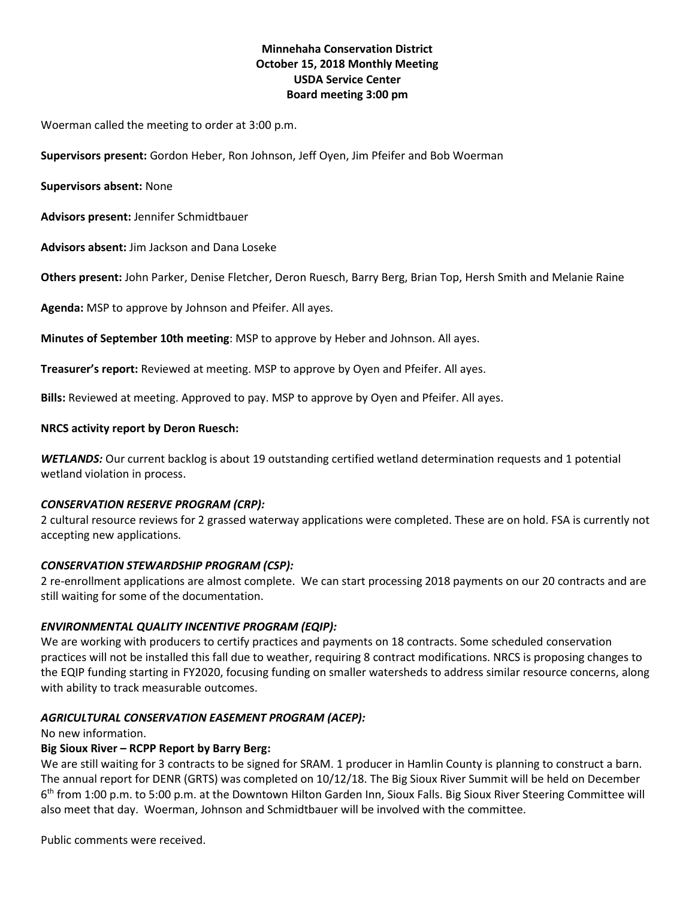# **Minnehaha Conservation District October 15, 2018 Monthly Meeting USDA Service Center Board meeting 3:00 pm**

Woerman called the meeting to order at 3:00 p.m.

**Supervisors present:** Gordon Heber, Ron Johnson, Jeff Oyen, Jim Pfeifer and Bob Woerman

#### **Supervisors absent:** None

**Advisors present:** Jennifer Schmidtbauer

**Advisors absent:** Jim Jackson and Dana Loseke

**Others present:** John Parker, Denise Fletcher, Deron Ruesch, Barry Berg, Brian Top, Hersh Smith and Melanie Raine

**Agenda:** MSP to approve by Johnson and Pfeifer. All ayes.

**Minutes of September 10th meeting**: MSP to approve by Heber and Johnson. All ayes.

**Treasurer's report:** Reviewed at meeting. MSP to approve by Oyen and Pfeifer. All ayes.

**Bills:** Reviewed at meeting. Approved to pay. MSP to approve by Oyen and Pfeifer. All ayes.

#### **NRCS activity report by Deron Ruesch:**

*WETLANDS:* Our current backlog is about 19 outstanding certified wetland determination requests and 1 potential wetland violation in process.

#### *CONSERVATION RESERVE PROGRAM (CRP):*

2 cultural resource reviews for 2 grassed waterway applications were completed. These are on hold. FSA is currently not accepting new applications.

### *CONSERVATION STEWARDSHIP PROGRAM (CSP):*

2 re-enrollment applications are almost complete. We can start processing 2018 payments on our 20 contracts and are still waiting for some of the documentation.

### *ENVIRONMENTAL QUALITY INCENTIVE PROGRAM (EQIP):*

We are working with producers to certify practices and payments on 18 contracts. Some scheduled conservation practices will not be installed this fall due to weather, requiring 8 contract modifications. NRCS is proposing changes to the EQIP funding starting in FY2020, focusing funding on smaller watersheds to address similar resource concerns, along with ability to track measurable outcomes.

### *AGRICULTURAL CONSERVATION EASEMENT PROGRAM (ACEP):*

No new information.

### **Big Sioux River – RCPP Report by Barry Berg:**

We are still waiting for 3 contracts to be signed for SRAM. 1 producer in Hamlin County is planning to construct a barn. The annual report for DENR (GRTS) was completed on 10/12/18. The Big Sioux River Summit will be held on December 6<sup>th</sup> from 1:00 p.m. to 5:00 p.m. at the Downtown Hilton Garden Inn, Sioux Falls. Big Sioux River Steering Committee will also meet that day. Woerman, Johnson and Schmidtbauer will be involved with the committee.

Public comments were received.